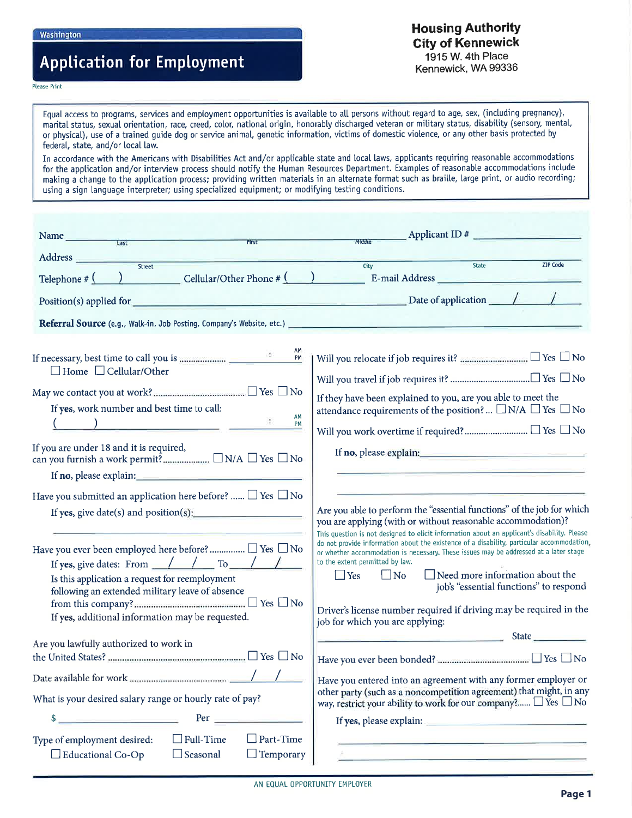# **Application for Employment**

### **Housing Authority City of Kennewick** 1915 W. 4th Place Kennewick, WA 99336

#### **Please Print**

Equal access to programs, services and employment opportunities is available to all persons without regard to age, sex, (including pregnancy), marital status, sexual orientation, race, creed, color, national origin, honorably discharged veteran or military status, disability (sensory, mental, or physical), use of a trained guide dog or service animal, genetic information, victims of domestic violence, or any other basis protected by federal, state, and/or local law.

In accordance with the Americans with Disabilities Act and/or applicable state and local laws, applicants requiring reasonable accommodations for the application and/or interview process should notify the Human Resources Department. Examples of reasonable accommodations include making a change to the application process; providing written materials in an alternate format such as braille, large print, or audio recording; using a sign language interpreter; using specialized equipment; or modifying testing conditions.

| Applicant ID $\#$<br>Middle                                                                                                                                                                                                                                                                                                                                                                                                                                                                                                                                                                                                                                                                    |
|------------------------------------------------------------------------------------------------------------------------------------------------------------------------------------------------------------------------------------------------------------------------------------------------------------------------------------------------------------------------------------------------------------------------------------------------------------------------------------------------------------------------------------------------------------------------------------------------------------------------------------------------------------------------------------------------|
|                                                                                                                                                                                                                                                                                                                                                                                                                                                                                                                                                                                                                                                                                                |
| <b>ZIP Code</b><br>State<br>City<br>Telephone $\#\begin{pmatrix} \cdot & \cdot & \cdot \\ \cdot & \cdot & \cdot \end{pmatrix}$ Cellular/Other Phone $\#\begin{pmatrix} \cdot & \cdot & \cdot \\ \cdot & \cdot & \cdot \end{pmatrix}$ E-mail Address                                                                                                                                                                                                                                                                                                                                                                                                                                            |
|                                                                                                                                                                                                                                                                                                                                                                                                                                                                                                                                                                                                                                                                                                |
| Referral Source (e.g., Walk-in, Job Posting, Company's Website, etc.) _________                                                                                                                                                                                                                                                                                                                                                                                                                                                                                                                                                                                                                |
| If they have been explained to you, are you able to meet the<br>attendance requirements of the position? $\Box$ N/A $\Box$ Yes $\Box$ No<br>If no, please explain: 100 million and 100 million and 100 million and 100 million and 100 million and 100 million and 100 million and 100 million and 100 million and 100 million and 100 million and 100 million and 100 mil                                                                                                                                                                                                                                                                                                                     |
|                                                                                                                                                                                                                                                                                                                                                                                                                                                                                                                                                                                                                                                                                                |
| Are you able to perform the "essential functions" of the job for which<br>you are applying (with or without reasonable accommodation)?<br>This question is not designed to elicit information about an applicant's disability. Please<br>do not provide information about the existence of a disability, particular accommodation<br>or whether accommodation is necessary. These issues may be addressed at a later stage<br>to the extent permitted by law.<br>$\Box$ Need more information about the<br>$\Box$ No<br>$\Box$ Yes<br>job's "essential functions" to respond<br>Driver's license number required if driving may be required in the<br>job for which you are applying:<br>State |
| <u> Produktion in de Station (1984)</u>                                                                                                                                                                                                                                                                                                                                                                                                                                                                                                                                                                                                                                                        |
| Have you entered into an agreement with any former employer or<br>other party (such as a noncompetition agreement) that might, in any<br>way, restrict your ability to work for our company? $\Box$ Yes $\Box$ No<br>the contract of the contract of the contract of the contract of the contract of<br>the company of the company of the company of the company of the company of the company of the company of the company of the company of the company of the company of the company of the company of the company of the company                                                                                                                                                          |
|                                                                                                                                                                                                                                                                                                                                                                                                                                                                                                                                                                                                                                                                                                |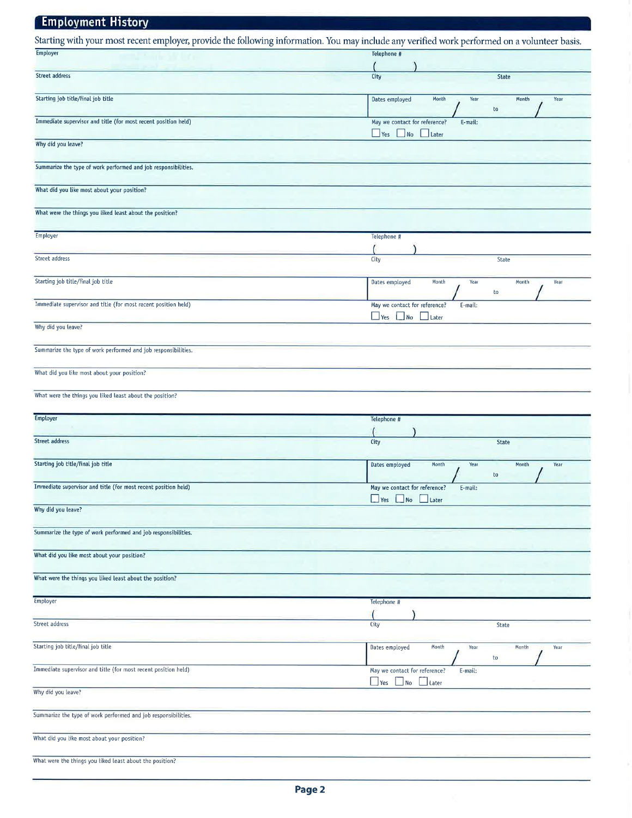#### **Employment History** Starting with your most recent employer, provide the following information. You may include any verified work performed on a volunteer basis. Employer Telephone # Street address City State Starting job title/final job title Dates employed Month Year Month Year to Immediate supervisor and title (for most recent position held) May we contact for reference? E-mail:  $\Box$  Yes  $\Box$  No  $\Box$  Later Why did you leave? Summarize the type of work performed and job responsibilities. What did you like most about your position? What were the things you liked least about the position? Employer Telephone # Street address City State Starting job title/final job title Dates employed Month Year Month Year  $\mathsf{to}$ Immediate supervisor and title (for most recent position held) May we contact for reference? E-mail:  $\Box$  Yes  $\Box$  No  $\Box$  Later Why did you leave? Summarize the type of work performed and job responsibilities. What did you like most about your position? What were the things you liked least about the position? Employer Telephone # Street address City State Starting job title/final job title Dates employed Month Year Month Year  $\mathop{\mathrm{to}}$ Immediate supervisor and title (for most recent position held) May we contact for reference? E-mail:  $\Box$  Yes  $\Box$  No  $\Box$  Later Why did you leave? Summarize the type of work performed and job responsibilities. What did you like most about your position? What were the things you liked least about the position? Employer Telephone # Street address City State Starting job title/final job title Dates employed Month Month Year Year to Immediate supervisor and title (for most recent position held) May we contact for reference? E-mail:  $\Box$  Yes  $\Box$ No Later Why did you leave? Summarize the type of work performed and job responsibilities. What did you like most about your position?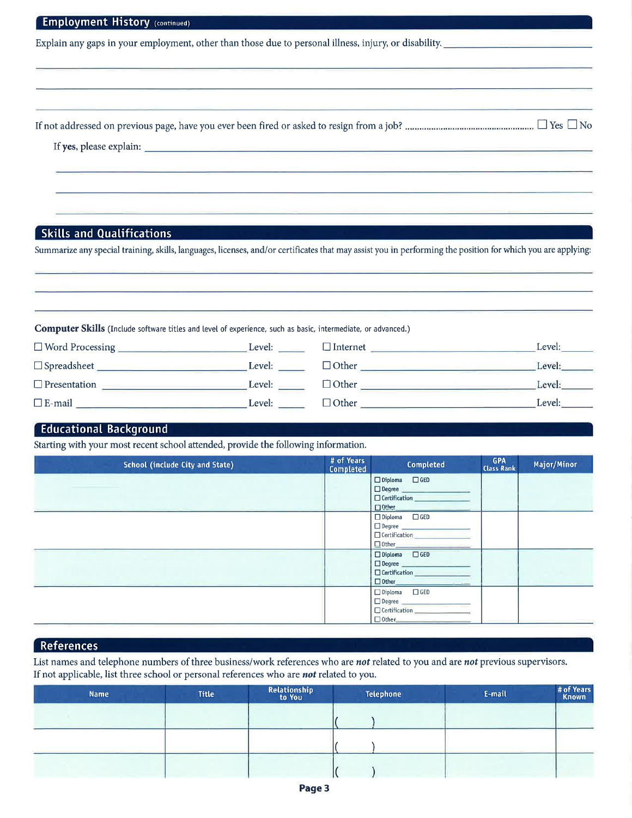| Explain any gaps in your employment, other than those due to personal illness, injury, or disability.                                                       |                  |                                                 |                                 |             |
|-------------------------------------------------------------------------------------------------------------------------------------------------------------|------------------|-------------------------------------------------|---------------------------------|-------------|
|                                                                                                                                                             |                  |                                                 |                                 |             |
|                                                                                                                                                             |                  |                                                 |                                 |             |
|                                                                                                                                                             |                  |                                                 |                                 |             |
|                                                                                                                                                             |                  |                                                 |                                 |             |
|                                                                                                                                                             |                  |                                                 |                                 |             |
| <b>Skills and Qualifications</b>                                                                                                                            |                  |                                                 |                                 |             |
| Summarize any special training, skills, languages, licenses, and/or certificates that may assist you in performing the position for which you are applying: |                  |                                                 |                                 |             |
|                                                                                                                                                             |                  |                                                 |                                 |             |
|                                                                                                                                                             |                  |                                                 |                                 |             |
|                                                                                                                                                             |                  |                                                 |                                 |             |
| Computer Skills (Include software titles and level of experience, such as basic, intermediate, or advanced.)                                                |                  |                                                 |                                 |             |
|                                                                                                                                                             |                  |                                                 |                                 |             |
|                                                                                                                                                             |                  | $\Box$ Internet                                 |                                 | Level:      |
|                                                                                                                                                             |                  |                                                 |                                 |             |
|                                                                                                                                                             |                  | $\Box$ Other $\Box$ Devel:                      |                                 |             |
|                                                                                                                                                             |                  | $\Box$ Other $\Box$                             |                                 | Level:      |
|                                                                                                                                                             |                  |                                                 |                                 |             |
| <b>Educational Background</b><br>Starting with your most recent school attended, provide the following information.                                         |                  |                                                 |                                 |             |
| <b>School (include City and State)</b>                                                                                                                      | # of Years       | Completed                                       | <b>GPA</b><br><b>Class Rank</b> | Major/Minor |
|                                                                                                                                                             | <b>Completed</b> | $\Box$ Diploma<br>$\Box$ GED                    |                                 |             |
|                                                                                                                                                             |                  | $\Box$ Degree<br>$\Box$ Certification           |                                 |             |
|                                                                                                                                                             |                  | $\Box$ Other<br>$\Box$ Diploma<br>$\square$ GED |                                 |             |
|                                                                                                                                                             |                  | $\Box$ Degree                                   |                                 |             |
|                                                                                                                                                             |                  | $\Box$ Certification<br>$\Box$ Other            |                                 |             |
|                                                                                                                                                             |                  | $\Box$ Diploma<br>$\Box$ GED                    |                                 |             |
|                                                                                                                                                             |                  | $\Box$ Degree<br>□ Certification                |                                 |             |

## References

List names and telephone numbers of three business/work references who are not related to you and are not previous supervisors. If not applicable, list three school or personal references who are not related to you.

 $\Box$  Degree  $\Box$  Certification  $\Box$  Other

| <b>Name</b> | <b>Title</b> | Relationship<br>to You | Telephone | E-mail | # of Years<br>Known |
|-------------|--------------|------------------------|-----------|--------|---------------------|
|             |              |                        |           |        |                     |
|             |              |                        |           |        |                     |
|             |              |                        |           |        |                     |
|             |              |                        |           |        |                     |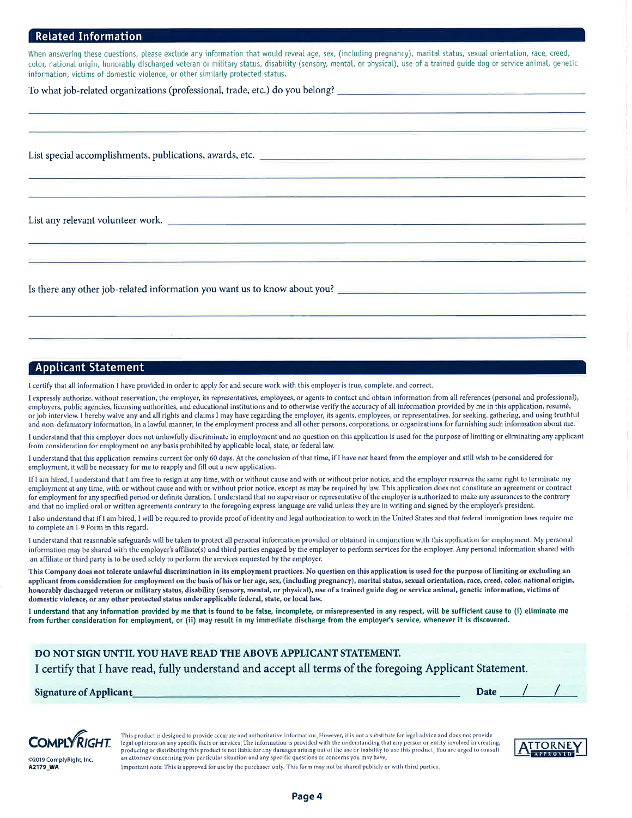#### **Related Information**

When answering these questions, please exclude any information that would reveal age, sex, (including pregnancy), marital status, sexual orientation, race, creed, color, national origin, honorably discharged veteran or military status, disability (sensory, mental, or physical), use of a trained guide dog or service animal, genetic information, victims of domestic violence, or other similarly protected status.

List special accomplishments, publications, awards, etc.

List any relevant volunteer work.

Is there any other job-related information you want us to know about you?

#### **Applicant Statement**

I certify that all information I have provided in order to apply for and secure work with this employer is true, complete, and correct.

I expressly authorize, without reservation, the employer, its representatives, employees, or agents to contact and obtain information from all references (personal and professional), employers, public agencies, licensing authorities, and educational institutions and to otherwise verify the accuracy of all information provided by me in this application, resumé, or job interview. I hereby waive any and all rights and claims I may have regarding the employer, its agents, employees, or representatives, for seeking, gathering, and using truthful and non-defamatory information, in a lawful manner, in the employment process and all other persons, corporations, or organizations for furnishing such information about me.

I understand that this employer does not unlawfully discriminate in employment and no question on this application is used for the purpose of limiting or eliminating any applicant from consideration for employment on any basis prohibited by applicable local, state, or federal law.

I understand that this application remains current for only 60 days. At the conclusion of that time, if I have not heard from the employer and still wish to be considered for employment, it will be necessary for me to reapply and fill out a new application.

If I am hired, I understand that I am free to resign at any time, with or without cause and with or without prior notice, and the employer reserves the same right to terminate my employment at any time, with or without cause and with or without prior notice, except as may be required by law. This application does not constitute an agreement or contract for employment for any specified period or definite duration. I understand that no supervisor or representative of the employer is authorized to make any assurances to the contrary and that no implied oral or written agreements contrary to the foregoing express language are valid unless they are in writing and signed by the employer's president.

I also understand that if I am hired, I will be required to provide proof of identity and legal authorization to work in the United States and that federal immigration laws require me to complete an I-9 Form in this regard.

I understand that reasonable safeguards will be taken to protect all personal information provided or obtained in conjunction with this application for employment. My personal information may be shared with the employer's affiliate(s) and third parties engaged by the employer to perform services for the employer. Any personal information shared with an affiliate or third party is to be used solely to perform the services requested by the employer.

This Company does not tolerate unlawful discrimination in its employment practices. No question on this application is used for the purpose of limiting or excluding an applicant from consideration for employment on the basis of his or her age, sex, (including pregnancy), marital status, sexual orientation, race, creed, color, national origin, honorably discharged veteran or military status, disability (sensory, mental, or physical), use of a trained guide dog or service animal, genetic information, victims of domestic violence, or any other protected status under applicable federal, state, or local law.

I understand that any information provided by me that is found to be false, incomplete, or misrepresented in any respect, will be sufficient cause to (i) eliminate me from further consideration for employment, or (ii) may result in my immediate discharge from the employer's service, whenever it is discovered.

#### DO NOT SIGN UNTIL YOU HAVE READ THE ABOVE APPLICANT STATEMENT.

I certify that I have read, fully understand and accept all terms of the foregoing Applicant Statement.

**Signature of Applicant** 





This product is designed to provide accurate and authoritative information, However, it is not a substitute for legal advice and does not provide legal opinions on any specific facts or services. The information is provided with the understanding that any person or entity involved in creating, producing or distributing this product is not liable for any damages arising out of the use or inability to use this product. You are urged to consult an attorney concerning your particular situation and any specific questions or concerns you may have.



@2019 ComplyRight, Inc A2179 WA

Important note: This is approved for use by the purchaser only. This form may not be shared publicly or with third parties.

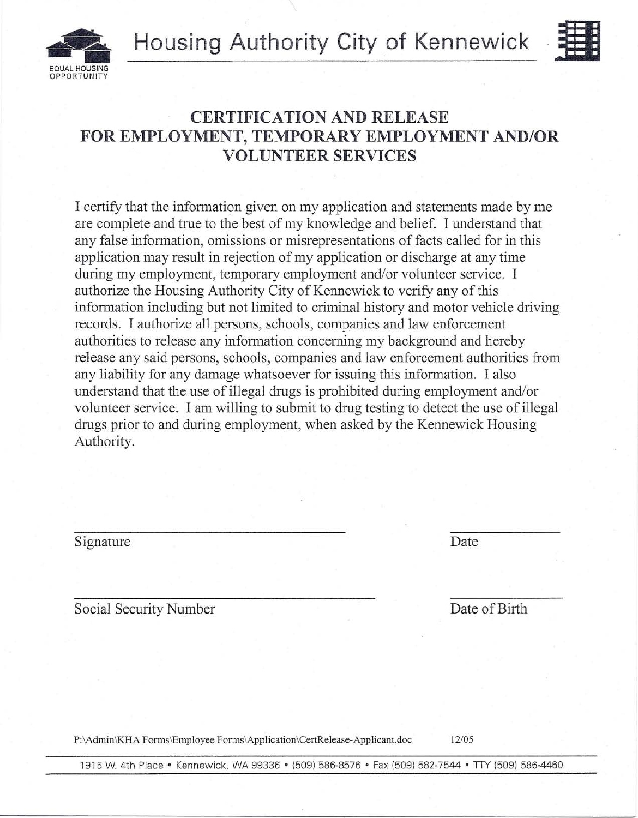$H$ ousing Authority City of Kennewick



# **AL HOUSING OPPORTUNITY**

## **CERTIFICATION AND RELEASE FOR EMPLOYMENT, TEMPORARY EMPLOYMENT AND/OR VOLUNTEER SERVICES**

I certify that the information given on my application and statements made by me are complete and true to the best of my knowledge and belief. I understand that any false information, omissions or misrepresentations of facts called for in this application may result in rejection of my application or discharge at any time during my employment, temporary employment and/or volunteer service. I authorize the Housing Authority City of Kennewick to verify any of this information including but not limited to criminal history and motor vehicle driving records. I authorize all persons, schools, companies and law enforcement authorities to release any information concerning my background and hereby release any said persons, schools, companies and law enforcement authorities from any liability for any damage whatsoever for issuing this information. I also understand that the use of illegal drugs is prohibited during employment and/or volunteer service. I am willing to submit to drug testing to detect the use of illegal drugs prior to and during employment, when asked by the Kennewick Housing Authority.

### Signature Date

Social Security Number Date of Birth

P:\Admin\KHA Forms\Employee Forms\Application\CertRelease-Applicant.doc *12/05*

1915 W. 4th Place • Kennewick, WA 99336 • (509) 586-8576 • Fax {509} 582-7544 • TIY (509) 586-4460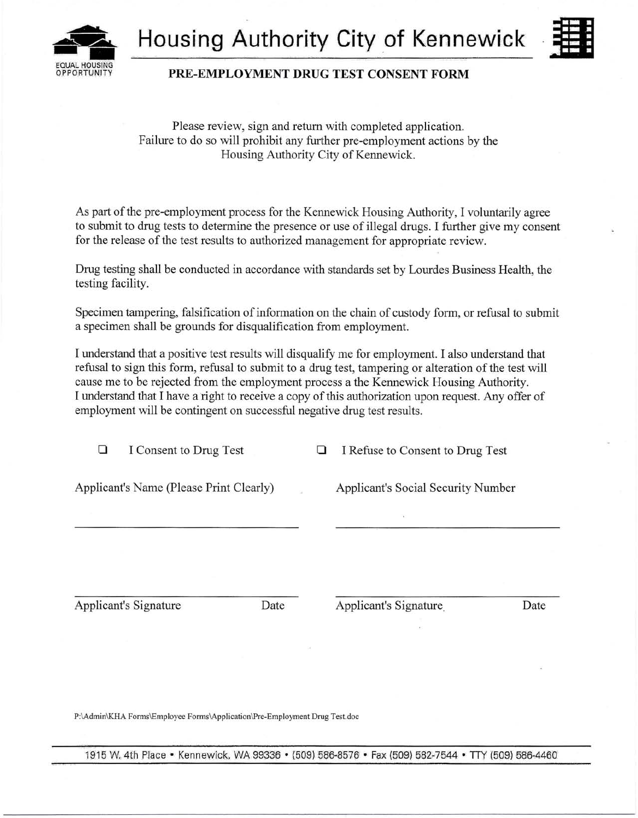



### PRE,EMPLOYMENT DRUG TEST CONSENT FORM

Please review, sign and return with completed application. Failure to do so will prohibit any further pre-employment actions by the Housing Authority City of Kennewick.

As part of the pre-employment process for the Kennewick Housing Authority, I voluntarily agree to submit to drug tests to determine the presence or use of illegal drugs. I further give my consent for the release of the test results to authorized management for appropriate review.

Drug testing shall be conducted in accordance with standards set by Lourdes Business Health, the testing facility.

Specimen tampering, falsification of information on the chain of custody form, or refusal to submit a specimen shall be grounds for disqualification from employment.

I understand that a positive test results will disqualify me for employment. I also understand that refusal to sign this form, refusal to submit to a drug test, tampering or alteration of the test will cause me to be rejected from the employment process a the Kennewick Housing Authority. I understand that I have a right to receive a copy of this authorization upon request. Any offer of employment will be contingent on successful negative drug test results.

| ⊔ | I Consent to Drug Test                  | ⊔ | I Refuse to Consent to Drug Test          |      |
|---|-----------------------------------------|---|-------------------------------------------|------|
|   | Applicant's Name (Please Print Clearly) |   | <b>Applicant's Social Security Number</b> |      |
|   |                                         |   | ×                                         |      |
|   | <b>Applicant's Signature</b><br>Date    |   | Applicant's Signature                     | Date |
|   |                                         |   |                                           |      |

P:\Admin\KHA Forms\Employee Forms\Application\Pre-Employment Drug Test.doc

1915 W. 4th Place • Kennewick, WA 99336 • (509) 586-8576 • Fax (509) 582-7544 • TTY (509) 586-4460